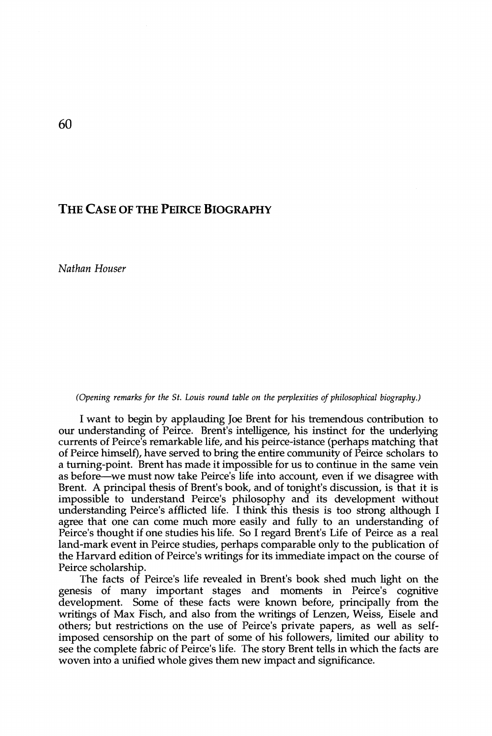## **T H E CAS E OF TH E PEIRC E BIOGRAPHY**

*Nathan Houser* 

## *(Opening remarks for the St. Louis round table on the perplexities of philosophical biography.)*

I want to begin by applauding Joe Brent for his tremendous contribution to our understanding of Peirce. Brent's inteUigence, his instinct for the underlying currents of Peirce's remarkable life, and his peirce-istance (perhaps matching that of Peirce himself), have served to bring the entire community of Peirce scholars to a turning-point. Brent has made it impossible for us to continue in the same vein as before—we must now take Peirce's life into account, even if we disagree with Brent. A principal thesis of Brent's book, and of tonight's discussion, is that it is impossible to understand Peirce's philosophy and its development without understanding Peirce's afflicted life. I think this thesis is too strong although I agree that one can come much more easily and fully to an understanding of Peirce's thought if one studies his life. So I regard Brent's Life of Peirce as a real land-mark event in Peirce studies, perhaps comparable only to the publication of the Harvard edition of Peirce's writings for its immediate impact on the course of Peirce scholarship.

The facts of Peirce's life revealed in Brent's book shed much light on the genesis of many important stages and moments in Peirce's cognitive development. Some of these facts were known before, principally from the writings of Max Fisch, and also from the writings of Lenzen, Weiss, Eisele and others; but restrictions on the use of Peirce's private papers, as well as selfimposed censorship on the part of some of his followers, limited our ability to see the complete fabric of Peirce's life. The story Brent tells in which the facts are woven into a unified whole gives them new impact and significance.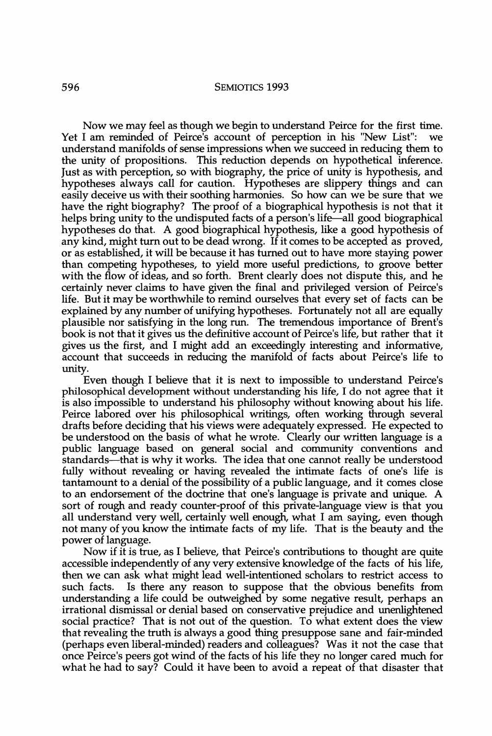## **5 9 6 SEMIOTICS 199 3**

Now we may feel as though we begin to understand Peirce for the first time. Yet I am reminded of Peirce's account of perception in his "New List": we understand manifolds of sense impressions when we succeed in reducing them to the unity of propositions. This reduction depends on hypothetical inference. Just as with perception, so with biography, the price of unity is hypothesis, and hypotheses always call for caution. Hypotheses are slippery things and can easily deceive us with their soothing harmonies. So how can we be sure that we have the right biography? The proof of a biographical hypothesis is not that it helps bring unity to the undisputed facts of a person's life—all good biographical hypotheses do that. A good biographical hypothesis, like a good hypothesis of any kind, might turn out to be dead wrong. If it comes to be accepted as proved, or as established, it will be because it has turned out to have more staying power than competing hypotheses, to yield more useful predictions, to groove better with the flow of ideas, and so forth. Brent clearly does not dispute this, and he certainly never claims to have given the final and privileged version of Peirce's life. But it may be worthwhile to remind ourselves that every set of facts can be explained by any number of unifying hypotheses. Fortunately not all are equally plausible nor satisfying in the long run. The tremendous importance of Brent's book is not that it gives us the definitive account of Peirce's life, but rather that it gives us the first, and I might add an exceedingly interesting and informative, account that succeeds in reducing the manifold of facts about Peirce's life to unity.

Even though I beheve that it is next to impossible to understand Peirce's philosophical development without understanding his life, I do not agree that it is also impossible to understand his philosophy without knowing about his life. Peirce labored over his philosophical writings, often working through several drafts before deciding that his views were adequately expressed. He expected to be understood on the basis of what he wrote. Clearly our written language is a public language based on general social and community conventions and standards—that is why it works. The idea that one cannot really be understood fully without revealing or having revealed the intimate facts of one's life is tantamount to a denial of the possibility of a public language, and it comes close to an endorsement of the doctrine that one's language is private and unique. A sort of rough and ready counter-proof of this private-language view is that you all understand very well, certainly well enough, what I am saying, even though not many of you know the intimate facts of my life. That is the beauty and the power of language.

Now if it is true, as I believe, that Peirce's contributions to thought are quite accessible independently of any very extensive knowledge of the facts of his life, then we can ask what might lead well-intentioned scholars to restrict access to such facts. Is there any reason to suppose that the obvious benefits from understanding a life could be outweighed by some negative result, perhaps an irrational dismissal or denial based on conservative prejudice and unenlightened social practice? That is not out of the question. To what extent does the view that revealmg the truth is always a good thing presuppose sane and fair-minded (perhaps even liberal-minded) readers and colleagues? Was it not the case that once Peirce's peers got wind of the facts of his life they no longer cared much for what he had to say? Could it have been to avoid a repeat of that disaster that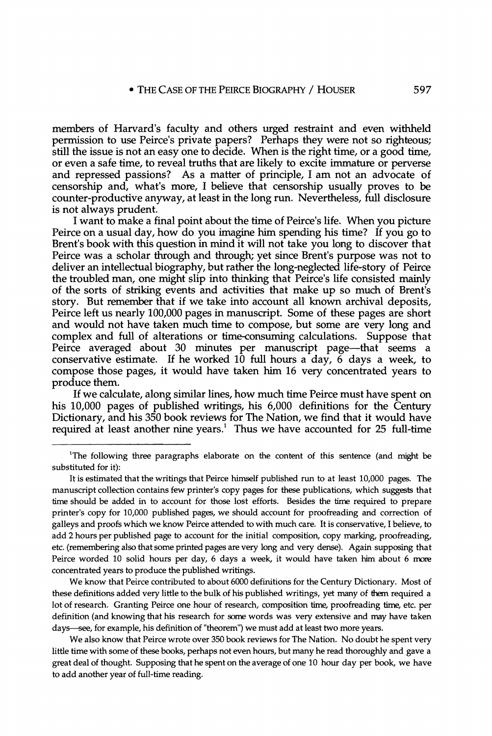members of Harvard's faculty and others urged restraint and even withheld permission to use Peirce's private papers? Perhaps they were not so righteous; still the issue is not an easy one to decide. When is the right time, or a good time, or even a safe time, to reveal truths that are likely to excite immature or perverse and repressed passions? As a matter of principle, I am not an advocate of censorship and, what's more, I believe that censorship usually proves to be counter-productive anyway, at least in the long run. Nevertheless, full disclosure is not always prudent.

I want to make a final point about the time of Peirce's life. When you picture Peirce on a usual day, how do you imagine him spending his time? If you go to Brent's book with this question in mind it will not take you long to discover that Peirce was a scholar through and through; yet since Brent's purpose was not to deliver an intellectual biography, but rather the long-neglected life-story of Peirce the troubled man, one might slip into thinking that Peirce's life consisted mainly of the sorts of striking events and activities that make up so much of Brent's story. But remember that if we take into account all known archival deposits, Peirce left us nearly 100,000 pages in manuscript. Some of these pages are short and would not have taken much time to compose, but some are very long and complex and full of alterations or time-consuming calculations. Suppose that Peirce averaged about 30 minutes per manuscript page—that seems a conservative estimate. If he worked  $10$  full hours a day, 6 days a week, to compose those pages, it would have taken him 16 very concentrated years to produce them.

If we calculate, along similar lines, how much time Peirce must have spent on his 10,000 pages of published writings, his 6,000 definitions for the Century Dictionary, and his 350 book reviews for The Nation, we find that it would have required at least another nine years.<sup>1</sup> Thus we have accounted for 25 full-time

**We know that Peirce contributed to about 6000 definitions for the Century Dictionary. Most of these definitions added very little to the bulk of his published writings, yet many of them required a lot of research. Granting Peirce one hour of research, composition time, proofreading time, etc. per definition (and knowing that his research for some words was very extensive and may have taken days—see, for example, his definition of "theorem") we must add at least two more years.** 

**We also know that Peirce wrote over 350 book reviews for The Nation. No doubt he spent very little time with some of these books, perhaps not even hours, but many he read thoroughly and gave a great deal of thought. Supposing that he spent on the average of one 10 hour day per book, we have to add another year of full-time reading.** 

<sup>&</sup>lt;sup>1</sup>The following three paragraphs elaborate on the content of this sentence (and might be **substituted for it):** 

**It is estimated that the writings that Peirce himself published run to at least 10,000 pages. The manuscript collection contains few printer's copy pages for these publications, which suggests that time should be added in to account for those lost efforts. Besides the time required to prepare printer's copy for 10,000 published pages, we should account for proofreading and correction of galleys and proofs which we know Peirce attended to with much care. It is conservative, I believe, to add 2 hours per published page to account for the initial composition, copy marking, proofreading, etc. (remembering also that some printed pages are very long and very dense). Again supposing that Peirce worded 10 solid hours per day, 6 days a week, it would have taken him about 6 more concentrated years to produce the published writings.**